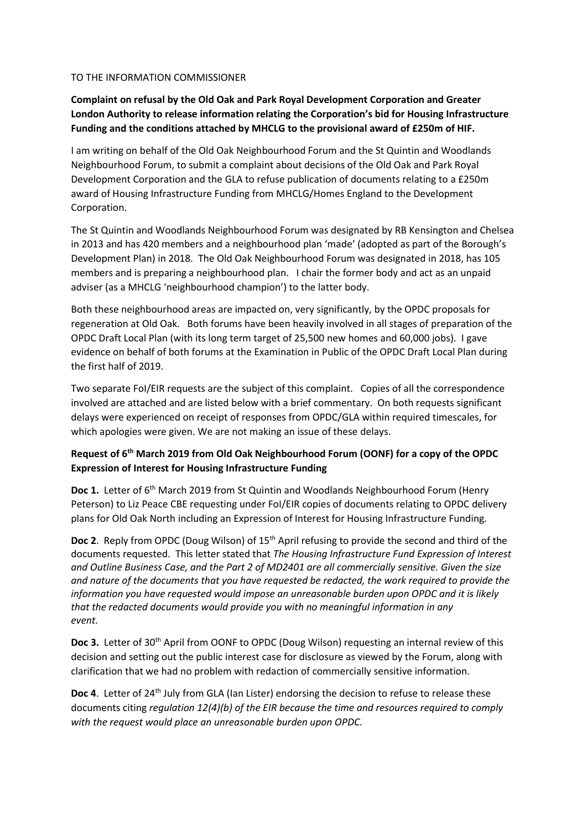#### TO THE INFORMATION COMMISSIONER

**Complaint on refusal by the Old Oak and Park Royal Development Corporation and Greater London Authority to release information relating the Corporation's bid for Housing Infrastructure Funding and the conditions attached by MHCLG to the provisional award of £250m of HIF.**

I am writing on behalf of the Old Oak Neighbourhood Forum and the St Quintin and Woodlands Neighbourhood Forum, to submit a complaint about decisions of the Old Oak and Park Royal Development Corporation and the GLA to refuse publication of documents relating to a £250m award of Housing Infrastructure Funding from MHCLG/Homes England to the Development Corporation.

The St Quintin and Woodlands Neighbourhood Forum was designated by RB Kensington and Chelsea in 2013 and has 420 members and a neighbourhood plan 'made' (adopted as part of the Borough's Development Plan) in 2018. The Old Oak Neighbourhood Forum was designated in 2018, has 105 members and is preparing a neighbourhood plan. I chair the former body and act as an unpaid adviser (as a MHCLG 'neighbourhood champion') to the latter body.

Both these neighbourhood areas are impacted on, very significantly, by the OPDC proposals for regeneration at Old Oak. Both forums have been heavily involved in all stages of preparation of the OPDC Draft Local Plan (with its long term target of 25,500 new homes and 60,000 jobs). I gave evidence on behalf of both forums at the Examination in Public of the OPDC Draft Local Plan during the first half of 2019.

Two separate FoI/EIR requests are the subject of this complaint. Copies of all the correspondence involved are attached and are listed below with a brief commentary. On both requests significant delays were experienced on receipt of responses from OPDC/GLA within required timescales, for which apologies were given. We are not making an issue of these delays.

## **Request of 6 th March 2019 from Old Oak Neighbourhood Forum (OONF) for a copy of the OPDC Expression of Interest for Housing Infrastructure Funding**

**Doc 1.** Letter of 6<sup>th</sup> March 2019 from St Quintin and Woodlands Neighbourhood Forum (Henry Peterson) to Liz Peace CBE requesting under FoI/EIR copies of documents relating to OPDC delivery plans for Old Oak North including an Expression of Interest for Housing Infrastructure Funding.

**Doc 2**. Reply from OPDC (Doug Wilson) of 15<sup>th</sup> April refusing to provide the second and third of the documents requested. This letter stated that *The Housing Infrastructure Fund Expression of Interest and Outline Business Case, and the Part 2 of MD2401 are all commercially sensitive. Given the size and nature of the documents that you have requested be redacted, the work required to provide the information you have requested would impose an unreasonable burden upon OPDC and it is likely that the redacted documents would provide you with no meaningful information in any event.*

**Doc 3.** Letter of 30<sup>th</sup> April from OONF to OPDC (Doug Wilson) requesting an internal review of this decision and setting out the public interest case for disclosure as viewed by the Forum, along with clarification that we had no problem with redaction of commercially sensitive information.

**Doc 4.** Letter of 24<sup>th</sup> July from GLA (Ian Lister) endorsing the decision to refuse to release these documents citing *regulation 12(4)(b) of the EIR because the time and resources required to comply with the request would place an unreasonable burden upon OPDC.*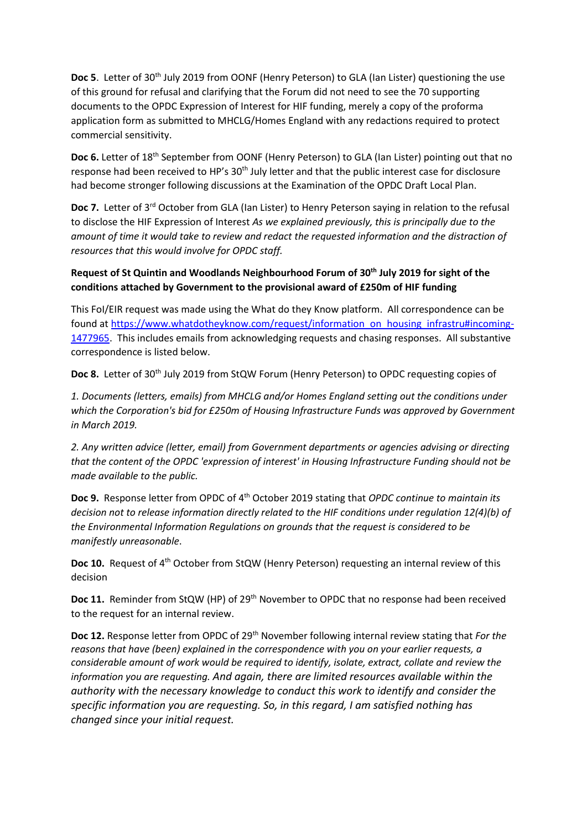**Doc 5.** Letter of 30<sup>th</sup> July 2019 from OONF (Henry Peterson) to GLA (Ian Lister) questioning the use of this ground for refusal and clarifying that the Forum did not need to see the 70 supporting documents to the OPDC Expression of Interest for HIF funding, merely a copy of the proforma application form as submitted to MHCLG/Homes England with any redactions required to protect commercial sensitivity.

**Doc 6.** Letter of 18<sup>th</sup> September from OONF (Henry Peterson) to GLA (Ian Lister) pointing out that no response had been received to HP's 30<sup>th</sup> July letter and that the public interest case for disclosure had become stronger following discussions at the Examination of the OPDC Draft Local Plan.

Doc 7. Letter of 3<sup>rd</sup> October from GLA (Ian Lister) to Henry Peterson saying in relation to the refusal to disclose the HIF Expression of Interest *As we explained previously, this is principally due to the amount of time it would take to review and redact the requested information and the distraction of resources that this would involve for OPDC staff.*

### **Request of St Quintin and Woodlands Neighbourhood Forum of 30th July 2019 for sight of the conditions attached by Government to the provisional award of £250m of HIF funding**

This FoI/EIR request was made using the What do they Know platform. All correspondence can be found at [https://www.whatdotheyknow.com/request/information\\_on\\_housing\\_infrastru#incoming-](https://www.whatdotheyknow.com/request/information_on_housing_infrastru#incoming-1477965)[1477965.](https://www.whatdotheyknow.com/request/information_on_housing_infrastru#incoming-1477965) This includes emails from acknowledging requests and chasing responses. All substantive correspondence is listed below.

Doc 8. Letter of 30<sup>th</sup> July 2019 from StQW Forum (Henry Peterson) to OPDC requesting copies of

*1. Documents (letters, emails) from MHCLG and/or Homes England setting out the conditions under which the Corporation's bid for £250m of Housing Infrastructure Funds was approved by Government in March 2019.* 

*2. Any written advice (letter, email) from Government departments or agencies advising or directing that the content of the OPDC 'expression of interest' in Housing Infrastructure Funding should not be made available to the public.*

**Doc 9.** Response letter from OPDC of 4th October 2019 stating that *OPDC continue to maintain its decision not to release information directly related to the HIF conditions under regulation 12(4)(b) of the Environmental Information Regulations on grounds that the request is considered to be manifestly unreasonable*.

**Doc 10.** Request of 4<sup>th</sup> October from StQW (Henry Peterson) requesting an internal review of this decision

**Doc 11.** Reminder from StQW (HP) of 29<sup>th</sup> November to OPDC that no response had been received to the request for an internal review.

**Doc 12.** Response letter from OPDC of 29<sup>th</sup> November following internal review stating that *For the reasons that have (been) explained in the correspondence with you on your earlier requests, a considerable amount of work would be required to identify, isolate, extract, collate and review the information you are requesting. And again, there are limited resources available within the authority with the necessary knowledge to conduct this work to identify and consider the specific information you are requesting. So, in this regard, I am satisfied nothing has changed since your initial request.*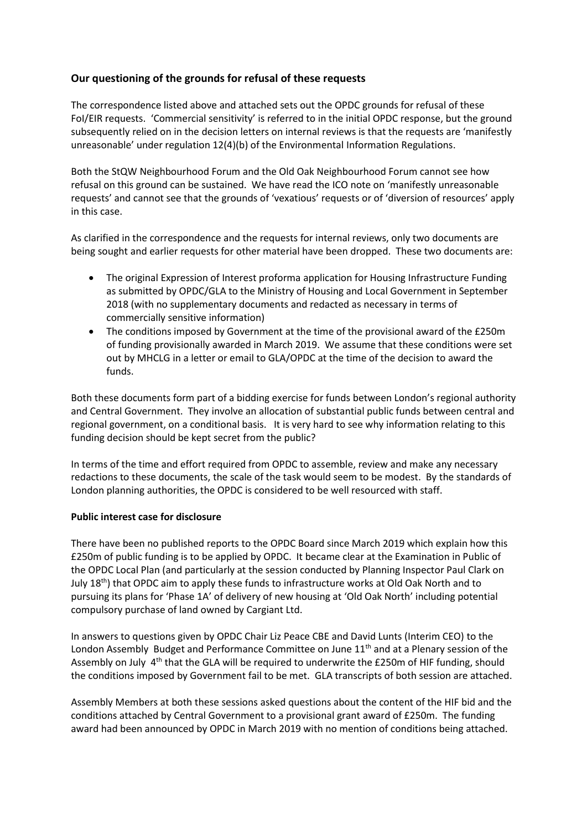# **Our questioning of the grounds for refusal of these requests**

The correspondence listed above and attached sets out the OPDC grounds for refusal of these FoI/EIR requests. 'Commercial sensitivity' is referred to in the initial OPDC response, but the ground subsequently relied on in the decision letters on internal reviews is that the requests are 'manifestly unreasonable' under regulation 12(4)(b) of the Environmental Information Regulations.

Both the StQW Neighbourhood Forum and the Old Oak Neighbourhood Forum cannot see how refusal on this ground can be sustained. We have read the ICO note on 'manifestly unreasonable requests' and cannot see that the grounds of 'vexatious' requests or of 'diversion of resources' apply in this case.

As clarified in the correspondence and the requests for internal reviews, only two documents are being sought and earlier requests for other material have been dropped. These two documents are:

- The original Expression of Interest proforma application for Housing Infrastructure Funding as submitted by OPDC/GLA to the Ministry of Housing and Local Government in September 2018 (with no supplementary documents and redacted as necessary in terms of commercially sensitive information)
- The conditions imposed by Government at the time of the provisional award of the £250m of funding provisionally awarded in March 2019. We assume that these conditions were set out by MHCLG in a letter or email to GLA/OPDC at the time of the decision to award the funds.

Both these documents form part of a bidding exercise for funds between London's regional authority and Central Government. They involve an allocation of substantial public funds between central and regional government, on a conditional basis. It is very hard to see why information relating to this funding decision should be kept secret from the public?

In terms of the time and effort required from OPDC to assemble, review and make any necessary redactions to these documents, the scale of the task would seem to be modest. By the standards of London planning authorities, the OPDC is considered to be well resourced with staff.

### **Public interest case for disclosure**

There have been no published reports to the OPDC Board since March 2019 which explain how this £250m of public funding is to be applied by OPDC. It became clear at the Examination in Public of the OPDC Local Plan (and particularly at the session conducted by Planning Inspector Paul Clark on July  $18<sup>th</sup>$ ) that OPDC aim to apply these funds to infrastructure works at Old Oak North and to pursuing its plans for 'Phase 1A' of delivery of new housing at 'Old Oak North' including potential compulsory purchase of land owned by Cargiant Ltd.

In answers to questions given by OPDC Chair Liz Peace CBE and David Lunts (Interim CEO) to the London Assembly Budget and Performance Committee on June  $11<sup>th</sup>$  and at a Plenary session of the Assembly on July 4<sup>th</sup> that the GLA will be required to underwrite the £250m of HIF funding, should the conditions imposed by Government fail to be met. GLA transcripts of both session are attached.

Assembly Members at both these sessions asked questions about the content of the HIF bid and the conditions attached by Central Government to a provisional grant award of £250m. The funding award had been announced by OPDC in March 2019 with no mention of conditions being attached.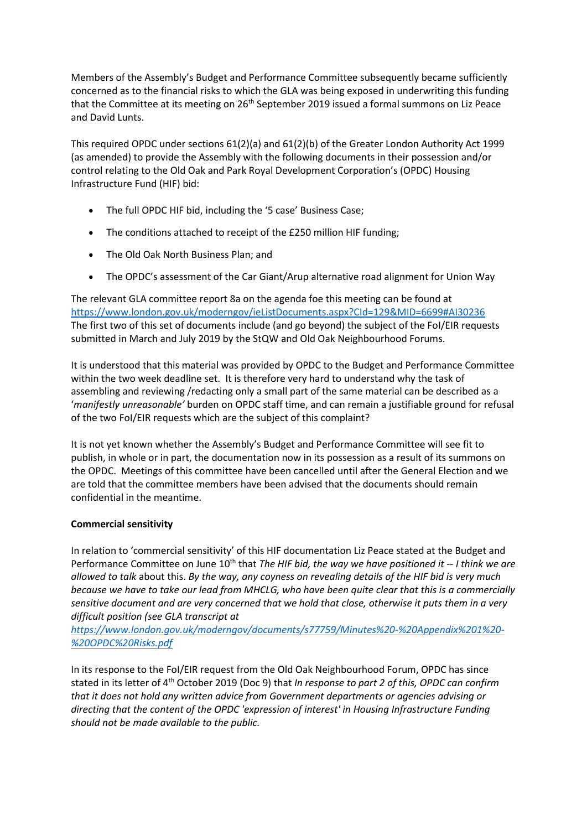Members of the Assembly's Budget and Performance Committee subsequently became sufficiently concerned as to the financial risks to which the GLA was being exposed in underwriting this funding that the Committee at its meeting on 26<sup>th</sup> September 2019 issued a formal summons on Liz Peace and David Lunts.

This required OPDC under sections 61(2)(a) and 61(2)(b) of the Greater London Authority Act 1999 (as amended) to provide the Assembly with the following documents in their possession and/or control relating to the Old Oak and Park Royal Development Corporation's (OPDC) Housing Infrastructure Fund (HIF) bid:

- The full OPDC HIF bid, including the '5 case' Business Case;
- The conditions attached to receipt of the £250 million HIF funding;
- The Old Oak North Business Plan; and
- The OPDC's assessment of the Car Giant/Arup alternative road alignment for Union Way

The relevant GLA committee report 8a on the agenda foe this meeting can be found at <https://www.london.gov.uk/moderngov/ieListDocuments.aspx?CId=129&MID=6699#AI30236> The first two of this set of documents include (and go beyond) the subject of the FoI/EIR requests submitted in March and July 2019 by the StQW and Old Oak Neighbourhood Forums.

It is understood that this material was provided by OPDC to the Budget and Performance Committee within the two week deadline set. It is therefore very hard to understand why the task of assembling and reviewing /redacting only a small part of the same material can be described as a '*manifestly unreasonable'* burden on OPDC staff time, and can remain a justifiable ground for refusal of the two FoI/EIR requests which are the subject of this complaint?

It is not yet known whether the Assembly's Budget and Performance Committee will see fit to publish, in whole or in part, the documentation now in its possession as a result of its summons on the OPDC. Meetings of this committee have been cancelled until after the General Election and we are told that the committee members have been advised that the documents should remain confidential in the meantime.

### **Commercial sensitivity**

In relation to 'commercial sensitivity' of this HIF documentation Liz Peace stated at the Budget and Performance Committee on June 10<sup>th</sup> that *The HIF bid, the way we have positioned it -- I think we are allowed to talk* about this. *By the way, any coyness on revealing details of the HIF bid is very much because we have to take our lead from MHCLG, who have been quite clear that this is a commercially sensitive document and are very concerned that we hold that close, otherwise it puts them in a very difficult position (see GLA transcript at* 

*[https://www.london.gov.uk/moderngov/documents/s77759/Minutes%20-%20Appendix%201%20-](https://www.london.gov.uk/moderngov/documents/s77759/Minutes%20-%20Appendix%201%20-%20OPDC%20Risks.pdf) [%20OPDC%20Risks.pdf](https://www.london.gov.uk/moderngov/documents/s77759/Minutes%20-%20Appendix%201%20-%20OPDC%20Risks.pdf)*

In its response to the FoI/EIR request from the Old Oak Neighbourhood Forum, OPDC has since stated in its letter of 4th October 2019 (Doc 9) that *In response to part 2 of this, OPDC can confirm that it does not hold any written advice from Government departments or agencies advising or directing that the content of the OPDC 'expression of interest' in Housing Infrastructure Funding should not be made available to the public.*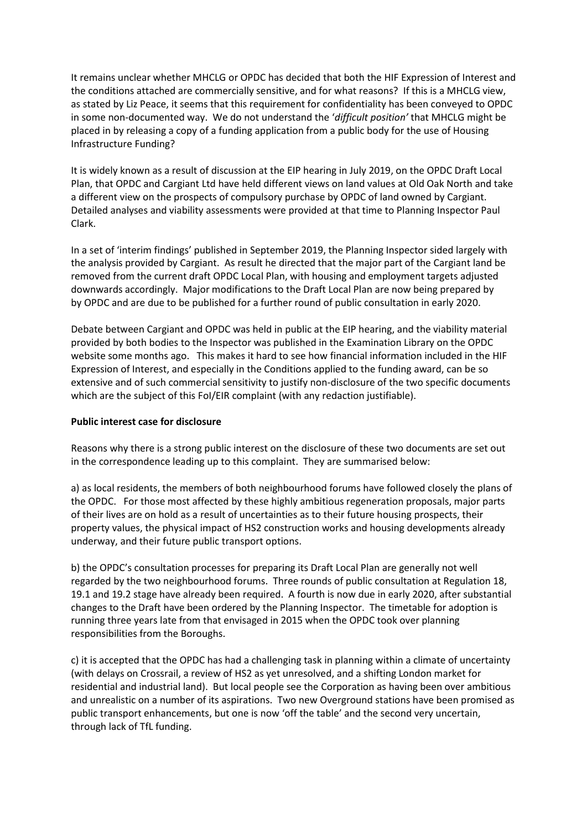It remains unclear whether MHCLG or OPDC has decided that both the HIF Expression of Interest and the conditions attached are commercially sensitive, and for what reasons? If this is a MHCLG view, as stated by Liz Peace, it seems that this requirement for confidentiality has been conveyed to OPDC in some non-documented way. We do not understand the '*difficult position'* that MHCLG might be placed in by releasing a copy of a funding application from a public body for the use of Housing Infrastructure Funding?

It is widely known as a result of discussion at the EIP hearing in July 2019, on the OPDC Draft Local Plan, that OPDC and Cargiant Ltd have held different views on land values at Old Oak North and take a different view on the prospects of compulsory purchase by OPDC of land owned by Cargiant. Detailed analyses and viability assessments were provided at that time to Planning Inspector Paul Clark.

In a set of 'interim findings' published in September 2019, the Planning Inspector sided largely with the analysis provided by Cargiant. As result he directed that the major part of the Cargiant land be removed from the current draft OPDC Local Plan, with housing and employment targets adjusted downwards accordingly. Major modifications to the Draft Local Plan are now being prepared by by OPDC and are due to be published for a further round of public consultation in early 2020.

Debate between Cargiant and OPDC was held in public at the EIP hearing, and the viability material provided by both bodies to the Inspector was published in the Examination Library on the OPDC website some months ago. This makes it hard to see how financial information included in the HIF Expression of Interest, and especially in the Conditions applied to the funding award, can be so extensive and of such commercial sensitivity to justify non-disclosure of the two specific documents which are the subject of this FoI/EIR complaint (with any redaction justifiable).

### **Public interest case for disclosure**

Reasons why there is a strong public interest on the disclosure of these two documents are set out in the correspondence leading up to this complaint. They are summarised below:

a) as local residents, the members of both neighbourhood forums have followed closely the plans of the OPDC. For those most affected by these highly ambitious regeneration proposals, major parts of their lives are on hold as a result of uncertainties as to their future housing prospects, their property values, the physical impact of HS2 construction works and housing developments already underway, and their future public transport options.

b) the OPDC's consultation processes for preparing its Draft Local Plan are generally not well regarded by the two neighbourhood forums. Three rounds of public consultation at Regulation 18, 19.1 and 19.2 stage have already been required. A fourth is now due in early 2020, after substantial changes to the Draft have been ordered by the Planning Inspector. The timetable for adoption is running three years late from that envisaged in 2015 when the OPDC took over planning responsibilities from the Boroughs.

c) it is accepted that the OPDC has had a challenging task in planning within a climate of uncertainty (with delays on Crossrail, a review of HS2 as yet unresolved, and a shifting London market for residential and industrial land). But local people see the Corporation as having been over ambitious and unrealistic on a number of its aspirations. Two new Overground stations have been promised as public transport enhancements, but one is now 'off the table' and the second very uncertain, through lack of TfL funding.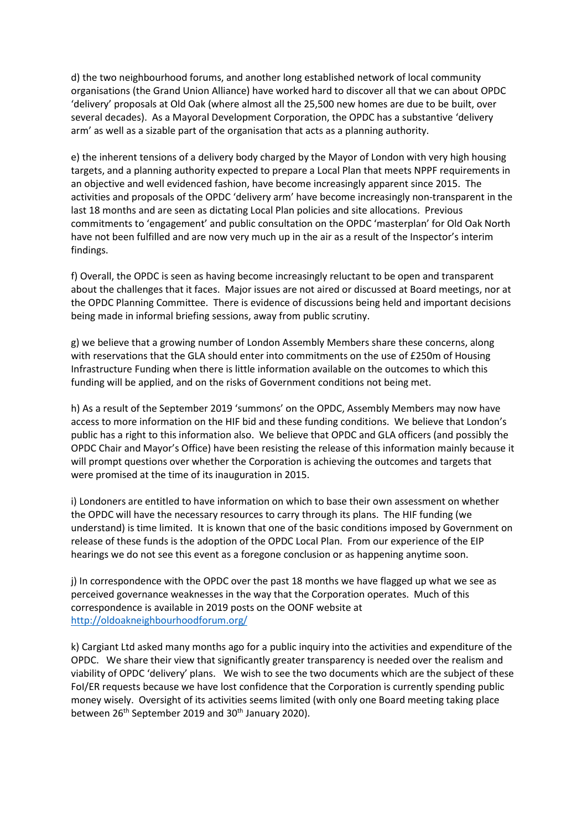d) the two neighbourhood forums, and another long established network of local community organisations (the Grand Union Alliance) have worked hard to discover all that we can about OPDC 'delivery' proposals at Old Oak (where almost all the 25,500 new homes are due to be built, over several decades). As a Mayoral Development Corporation, the OPDC has a substantive 'delivery arm' as well as a sizable part of the organisation that acts as a planning authority.

e) the inherent tensions of a delivery body charged by the Mayor of London with very high housing targets, and a planning authority expected to prepare a Local Plan that meets NPPF requirements in an objective and well evidenced fashion, have become increasingly apparent since 2015. The activities and proposals of the OPDC 'delivery arm' have become increasingly non-transparent in the last 18 months and are seen as dictating Local Plan policies and site allocations. Previous commitments to 'engagement' and public consultation on the OPDC 'masterplan' for Old Oak North have not been fulfilled and are now very much up in the air as a result of the Inspector's interim findings.

f) Overall, the OPDC is seen as having become increasingly reluctant to be open and transparent about the challenges that it faces. Major issues are not aired or discussed at Board meetings, nor at the OPDC Planning Committee. There is evidence of discussions being held and important decisions being made in informal briefing sessions, away from public scrutiny.

g) we believe that a growing number of London Assembly Members share these concerns, along with reservations that the GLA should enter into commitments on the use of £250m of Housing Infrastructure Funding when there is little information available on the outcomes to which this funding will be applied, and on the risks of Government conditions not being met.

h) As a result of the September 2019 'summons' on the OPDC, Assembly Members may now have access to more information on the HIF bid and these funding conditions. We believe that London's public has a right to this information also. We believe that OPDC and GLA officers (and possibly the OPDC Chair and Mayor's Office) have been resisting the release of this information mainly because it will prompt questions over whether the Corporation is achieving the outcomes and targets that were promised at the time of its inauguration in 2015.

i) Londoners are entitled to have information on which to base their own assessment on whether the OPDC will have the necessary resources to carry through its plans. The HIF funding (we understand) is time limited. It is known that one of the basic conditions imposed by Government on release of these funds is the adoption of the OPDC Local Plan. From our experience of the EIP hearings we do not see this event as a foregone conclusion or as happening anytime soon.

j) In correspondence with the OPDC over the past 18 months we have flagged up what we see as perceived governance weaknesses in the way that the Corporation operates. Much of this correspondence is available in 2019 posts on the OONF website at <http://oldoakneighbourhoodforum.org/>

k) Cargiant Ltd asked many months ago for a public inquiry into the activities and expenditure of the OPDC. We share their view that significantly greater transparency is needed over the realism and viability of OPDC 'delivery' plans. We wish to see the two documents which are the subject of these FoI/ER requests because we have lost confidence that the Corporation is currently spending public money wisely. Oversight of its activities seems limited (with only one Board meeting taking place between 26<sup>th</sup> September 2019 and 30<sup>th</sup> January 2020).